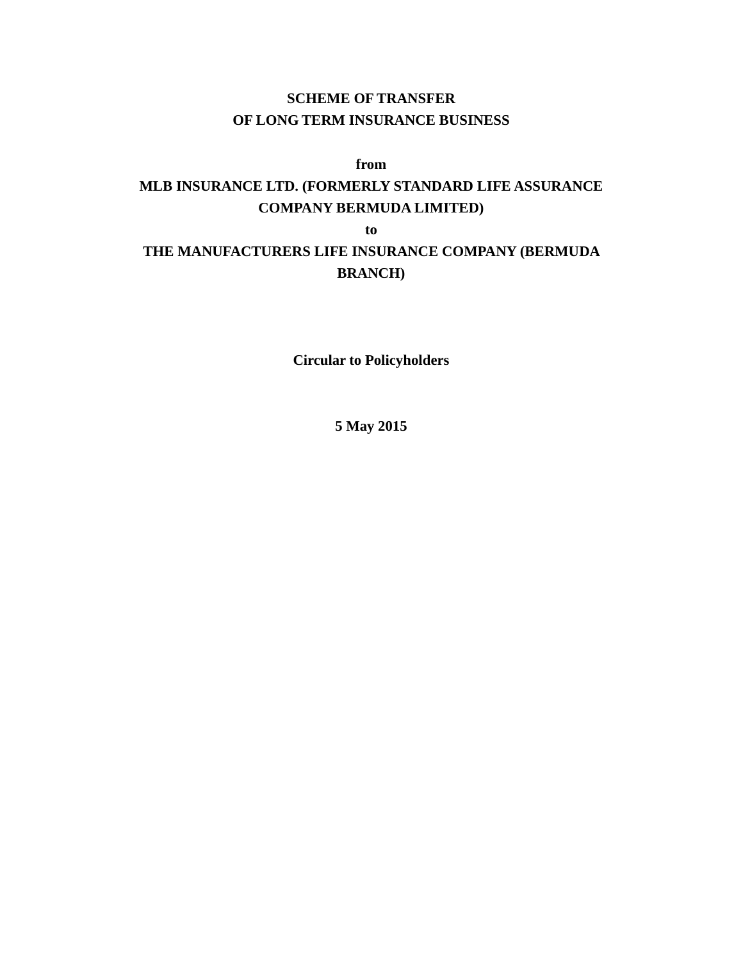# **SCHEME OF TRANSFER OF LONG TERM INSURANCE BUSINESS**

# **from**

# **MLB INSURANCE LTD. (FORMERLY STANDARD LIFE ASSURANCE COMPANY BERMUDA LIMITED)**

**to**

# **THE MANUFACTURERS LIFE INSURANCE COMPANY (BERMUDA BRANCH)**

**Circular to Policyholders**

**5 May 2015**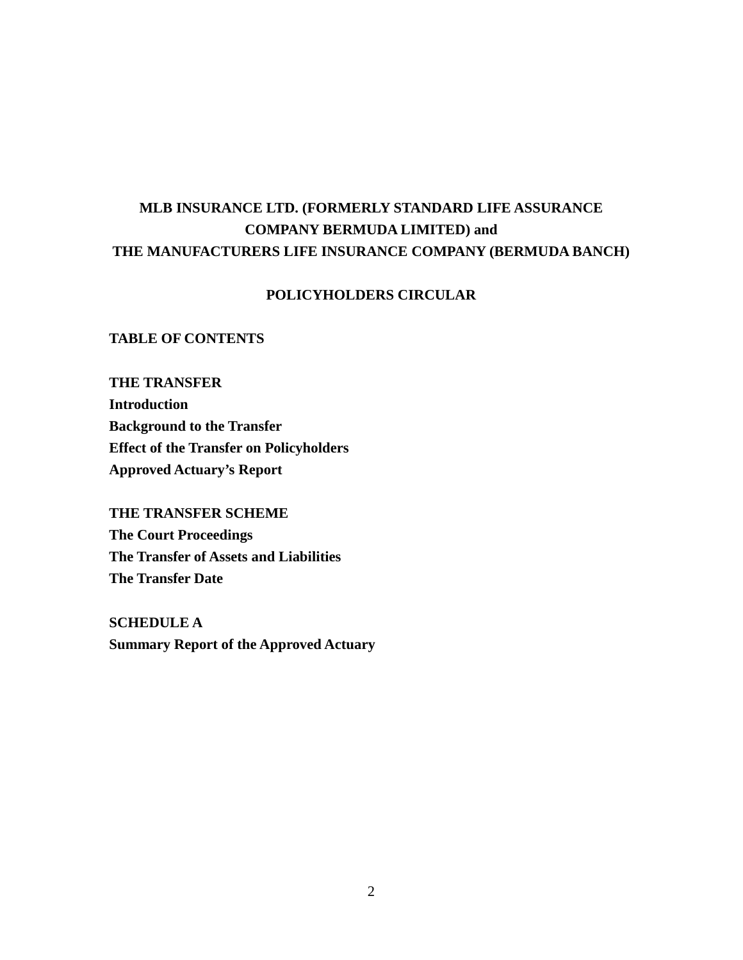# **MLB INSURANCE LTD. (FORMERLY STANDARD LIFE ASSURANCE COMPANY BERMUDA LIMITED) and THE MANUFACTURERS LIFE INSURANCE COMPANY (BERMUDA BANCH)**

# **POLICYHOLDERS CIRCULAR**

## **TABLE OF CONTENTS**

**THE TRANSFER Introduction Background to the Transfer Effect of the Transfer on Policyholders Approved Actuary's Report**

**THE TRANSFER SCHEME The Court Proceedings The Transfer of Assets and Liabilities The Transfer Date**

**SCHEDULE A Summary Report of the Approved Actuary**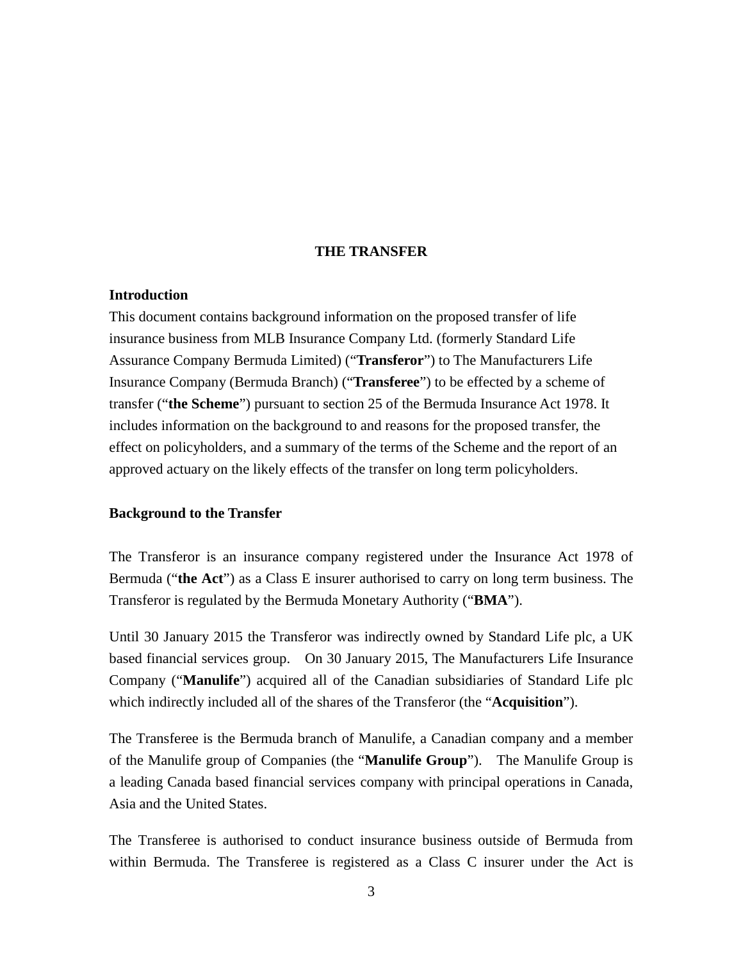#### **THE TRANSFER**

### **Introduction**

This document contains background information on the proposed transfer of life insurance business from MLB Insurance Company Ltd. (formerly Standard Life Assurance Company Bermuda Limited) ("**Transferor**") to The Manufacturers Life Insurance Company (Bermuda Branch) ("**Transferee**") to be effected by a scheme of transfer ("**the Scheme**") pursuant to section 25 of the Bermuda Insurance Act 1978. It includes information on the background to and reasons for the proposed transfer, the effect on policyholders, and a summary of the terms of the Scheme and the report of an approved actuary on the likely effects of the transfer on long term policyholders.

#### **Background to the Transfer**

The Transferor is an insurance company registered under the Insurance Act 1978 of Bermuda ("**the Act**") as a Class E insurer authorised to carry on long term business. The Transferor is regulated by the Bermuda Monetary Authority ("**BMA**").

Until 30 January 2015 the Transferor was indirectly owned by Standard Life plc, a UK based financial services group. On 30 January 2015, The Manufacturers Life Insurance Company ("**Manulife**") acquired all of the Canadian subsidiaries of Standard Life plc which indirectly included all of the shares of the Transferor (the "**Acquisition**").

The Transferee is the Bermuda branch of Manulife, a Canadian company and a member of the Manulife group of Companies (the "**Manulife Group**"). The Manulife Group is a leading Canada based financial services company with principal operations in Canada, Asia and the United States.

The Transferee is authorised to conduct insurance business outside of Bermuda from within Bermuda. The Transferee is registered as a Class C insurer under the Act is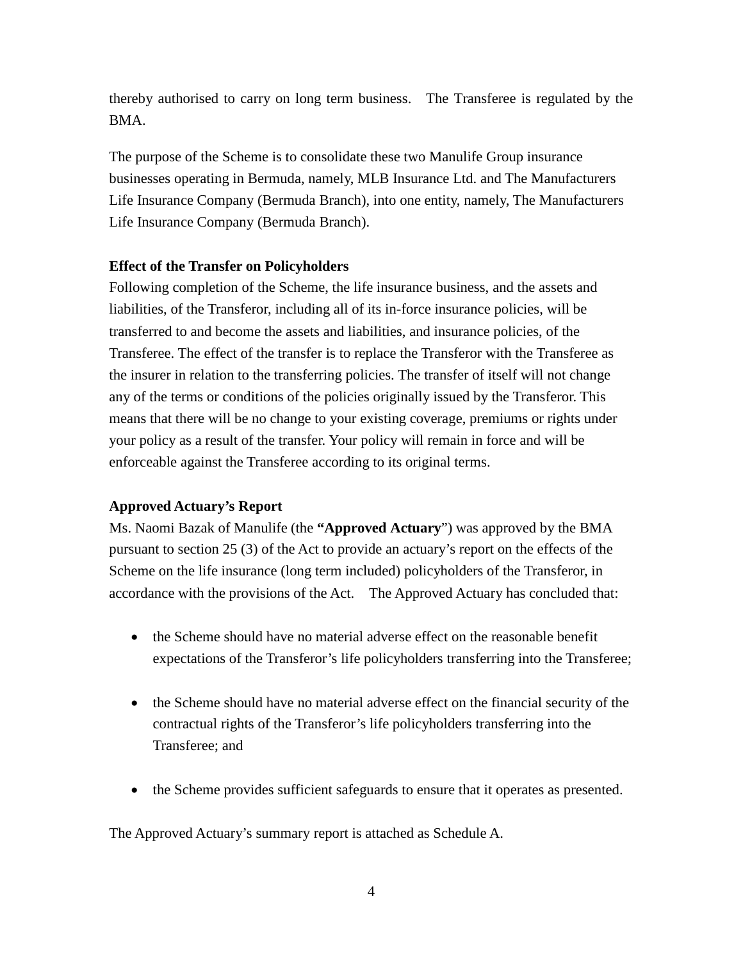thereby authorised to carry on long term business. The Transferee is regulated by the BMA.

The purpose of the Scheme is to consolidate these two Manulife Group insurance businesses operating in Bermuda, namely, MLB Insurance Ltd. and The Manufacturers Life Insurance Company (Bermuda Branch), into one entity, namely, The Manufacturers Life Insurance Company (Bermuda Branch).

## **Effect of the Transfer on Policyholders**

Following completion of the Scheme, the life insurance business, and the assets and liabilities, of the Transferor, including all of its in-force insurance policies, will be transferred to and become the assets and liabilities, and insurance policies, of the Transferee. The effect of the transfer is to replace the Transferor with the Transferee as the insurer in relation to the transferring policies. The transfer of itself will not change any of the terms or conditions of the policies originally issued by the Transferor. This means that there will be no change to your existing coverage, premiums or rights under your policy as a result of the transfer. Your policy will remain in force and will be enforceable against the Transferee according to its original terms.

#### **Approved Actuary's Report**

Ms. Naomi Bazak of Manulife (the **"Approved Actuary**") was approved by the BMA pursuant to section 25 (3) of the Act to provide an actuary's report on the effects of the Scheme on the life insurance (long term included) policyholders of the Transferor, in accordance with the provisions of the Act. The Approved Actuary has concluded that:

- the Scheme should have no material adverse effect on the reasonable benefit expectations of the Transferor's life policyholders transferring into the Transferee;
- the Scheme should have no material adverse effect on the financial security of the contractual rights of the Transferor's life policyholders transferring into the Transferee; and
- the Scheme provides sufficient safeguards to ensure that it operates as presented.

The Approved Actuary's summary report is attached as Schedule A.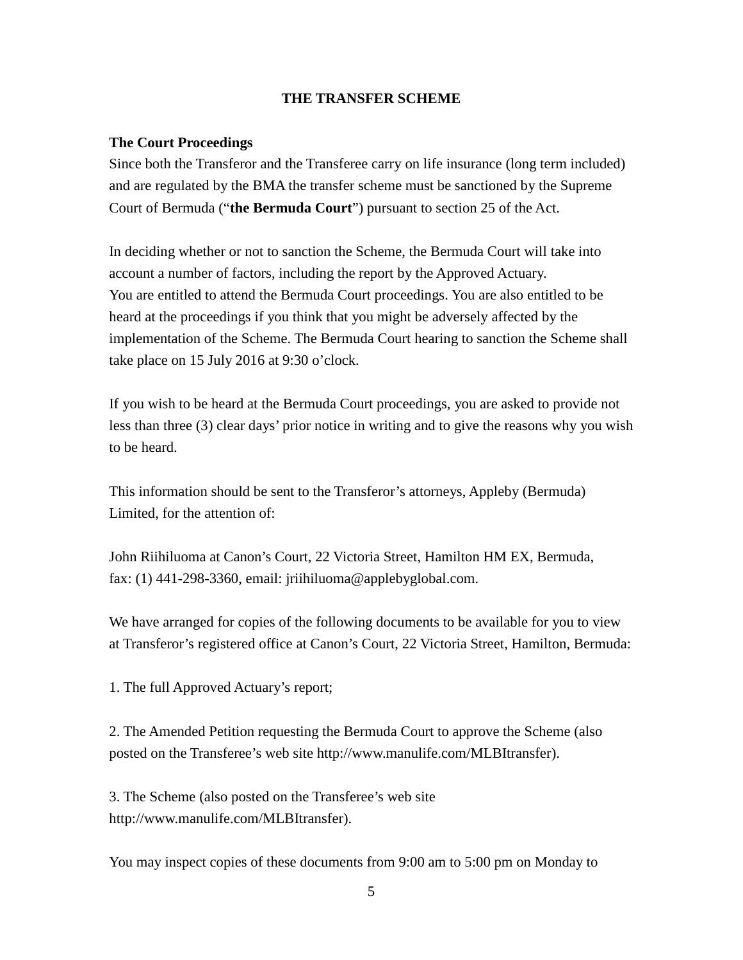# **THE TRANSFER SCHEME**

# **The Court Proceedings**

Since both the Transferor and the Transferee carry on life insurance (long term included) and are regulated by the BMA the transfer scheme must be sanctioned by the Supreme Court of Bermuda ("**the Bermuda Court**") pursuant to section 25 of the Act.

In deciding whether or not to sanction the Scheme, the Bermuda Court will take into account a number of factors, including the report by the Approved Actuary. You are entitled to attend the Bermuda Court proceedings. You are also entitled to be heard at the proceedings if you think that you might be adversely affected by the implementation of the Scheme. The Bermuda Court hearing to sanction the Scheme shall take place on 15 July 2016 at 9:30 o'clock.

If you wish to be heard at the Bermuda Court proceedings, you are asked to provide not less than three (3) clear days' prior notice in writing and to give the reasons why you wish to be heard.

This information should be sent to the Transferor's attorneys, Appleby (Bermuda) Limited, for the attention of:

John Riihiluoma at Canon's Court, 22 Victoria Street, Hamilton HM EX, Bermuda, fax: (1) 441-298-3360, email: jriihiluoma@applebyglobal.com.

We have arranged for copies of the following documents to be available for you to view at Transferor's registered office at Canon's Court, 22 Victoria Street, Hamilton, Bermuda:

1. The full Approved Actuary's report;

2. The Amended Petition requesting the Bermuda Court to approve the Scheme (also posted on the Transferee's web site http://www.manulife.com/MLBItransfer).

3. The Scheme (also posted on the Transferee's web site http://www.manulife.com/MLBItransfer).

You may inspect copies of these documents from 9:00 am to 5:00 pm on Monday to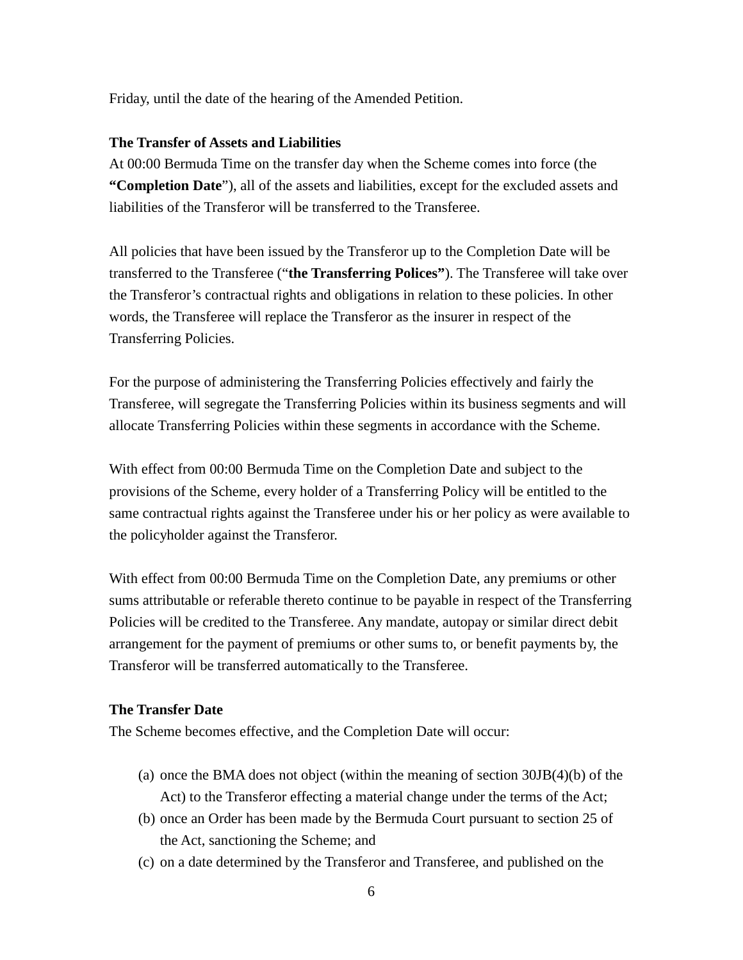Friday, until the date of the hearing of the Amended Petition.

# **The Transfer of Assets and Liabilities**

At 00:00 Bermuda Time on the transfer day when the Scheme comes into force (the **"Completion Date**"), all of the assets and liabilities, except for the excluded assets and liabilities of the Transferor will be transferred to the Transferee.

All policies that have been issued by the Transferor up to the Completion Date will be transferred to the Transferee ("**the Transferring Polices"**). The Transferee will take over the Transferor's contractual rights and obligations in relation to these policies. In other words, the Transferee will replace the Transferor as the insurer in respect of the Transferring Policies.

For the purpose of administering the Transferring Policies effectively and fairly the Transferee, will segregate the Transferring Policies within its business segments and will allocate Transferring Policies within these segments in accordance with the Scheme.

With effect from 00:00 Bermuda Time on the Completion Date and subject to the provisions of the Scheme, every holder of a Transferring Policy will be entitled to the same contractual rights against the Transferee under his or her policy as were available to the policyholder against the Transferor.

With effect from 00:00 Bermuda Time on the Completion Date, any premiums or other sums attributable or referable thereto continue to be payable in respect of the Transferring Policies will be credited to the Transferee. Any mandate, autopay or similar direct debit arrangement for the payment of premiums or other sums to, or benefit payments by, the Transferor will be transferred automatically to the Transferee.

## **The Transfer Date**

The Scheme becomes effective, and the Completion Date will occur:

- (a) once the BMA does not object (within the meaning of section 30JB(4)(b) of the Act) to the Transferor effecting a material change under the terms of the Act;
- (b) once an Order has been made by the Bermuda Court pursuant to section 25 of the Act, sanctioning the Scheme; and
- (c) on a date determined by the Transferor and Transferee, and published on the